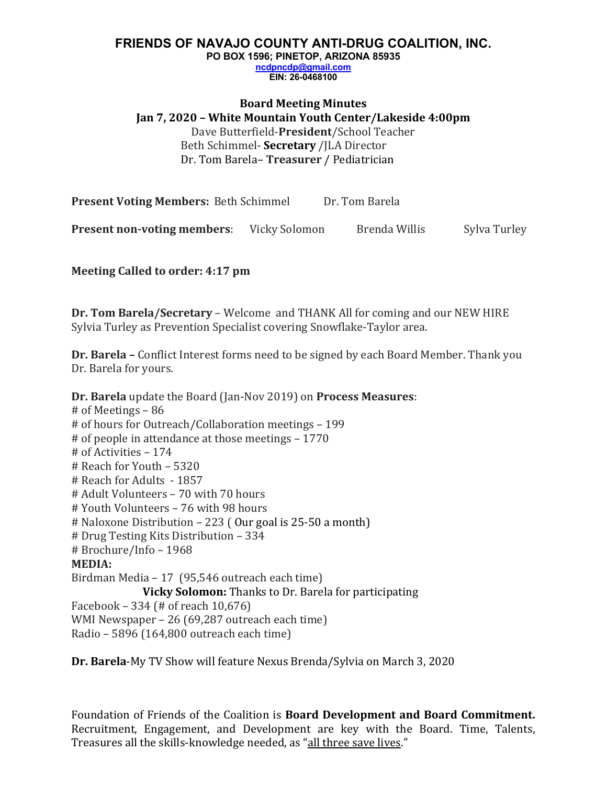### **FRIENDS OF NAVAJO COUNTY ANTI-DRUG COALITION, INC. PO BOX 1596; PINETOP, ARIZONA 85935 ncdpncdp@gmail.com EIN: 26-0468100**

**Board Meeting Minutes Jan 7, 2020 – White Mountain Youth Center/Lakeside 4:00pm**  Dave Butterfield-**President**/School Teacher Beth Schimmel- **Secretary** /JLA Director Dr. Tom Barela-Treasurer / Pediatrician

**Present Voting Members:** Beth Schimmel Dr. Tom Barela **Present non-voting members:** Vicky Solomon Brenda Willis Sylva Turley

**Meeting Called to order: 4:17 pm**

**Dr. Tom Barela/Secretary** – Welcome and THANK All for coming and our NEW HIRE Sylvia Turley as Prevention Specialist covering Snowflake-Taylor area.

**Dr. Barela** – Conflict Interest forms need to be signed by each Board Member. Thank you Dr. Barela for yours.

**Dr. Barela** update the Board (Jan-Nov 2019) on **Process Measures**:  $#$  of Meetings – 86 # of hours for Outreach/Collaboration meetings - 199 # of people in attendance at those meetings  $- 1770$ # of Activities – 174  $#$  Reach for Youth  $-$  5320 # Reach for Adults - 1857 # Adult Volunteers - 70 with 70 hours # Youth Volunteers – 76 with 98 hours  $\#$  Naloxone Distribution – 223 ( Our goal is 25-50 a month) # Drug Testing Kits Distribution - 334 # Brochure/Info - 1968 **MEDIA:**  Birdman Media – 17 (95,546 outreach each time) **Vicky Solomon:** Thanks to Dr. Barela for participating Facebook – 334 (# of reach  $10,676$ ) WMI Newspaper  $- 26$  (69,287 outreach each time) Radio – 5896 (164,800 outreach each time)

**Dr. Barela-My TV Show will feature Nexus Brenda/Sylvia on March 3, 2020**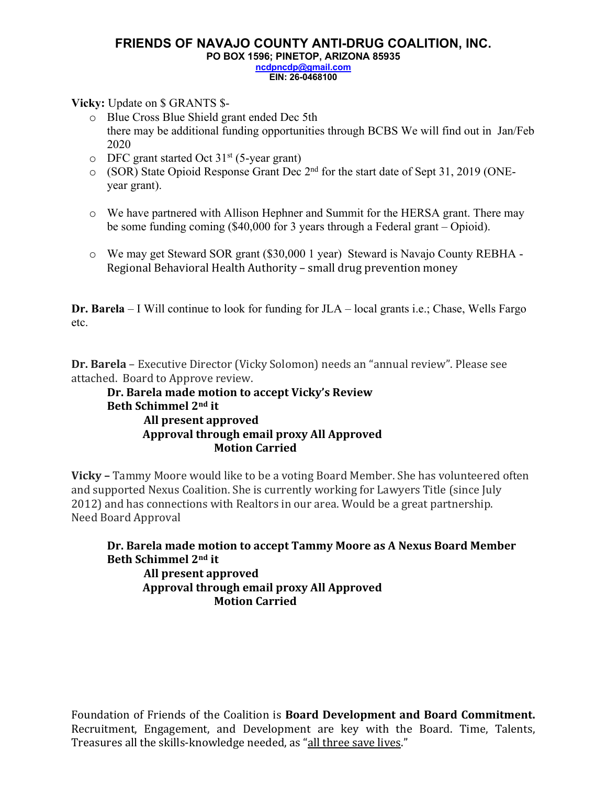### **FRIENDS OF NAVAJO COUNTY ANTI-DRUG COALITION, INC. PO BOX 1596; PINETOP, ARIZONA 85935 ncdpncdp@gmail.com EIN: 26-0468100**

**Vicky:** Update on \$ GRANTS \$-

- o Blue Cross Blue Shield grant ended Dec 5th there may be additional funding opportunities through BCBS We will find out in Jan/Feb 2020
- $\circ$  DFC grant started Oct 31<sup>st</sup> (5-year grant)
- o (SOR) State Opioid Response Grant Dec 2nd for the start date of Sept 31, 2019 (ONEyear grant).
- o We have partnered with Allison Hephner and Summit for the HERSA grant. There may be some funding coming (\$40,000 for 3 years through a Federal grant – Opioid).
- o We may get Steward SOR grant (\$30,000 1 year) Steward is Navajo County REBHA Regional Behavioral Health Authority – small drug prevention money

**Dr. Barela** – I Will continue to look for funding for JLA – local grants i.e.; Chase, Wells Fargo etc.

**Dr. Barela** – Executive Director (Vicky Solomon) needs an "annual review". Please see attached. Board to Approve review.

## **Dr. Barela made motion to accept Vicky's Review Beth Schimmel 2nd it All present approved Approval through email proxy All Approved Motion Carried**

**Vicky** – Tammy Moore would like to be a voting Board Member. She has volunteered often and supported Nexus Coalition. She is currently working for Lawyers Title (since July 2012) and has connections with Realtors in our area. Would be a great partnership. Need Board Approval

Dr. Barela made motion to accept Tammy Moore as A Nexus Board Member **Beth Schimmel 2nd it All present approved** Approval through email proxy All Approved **Motion Carried**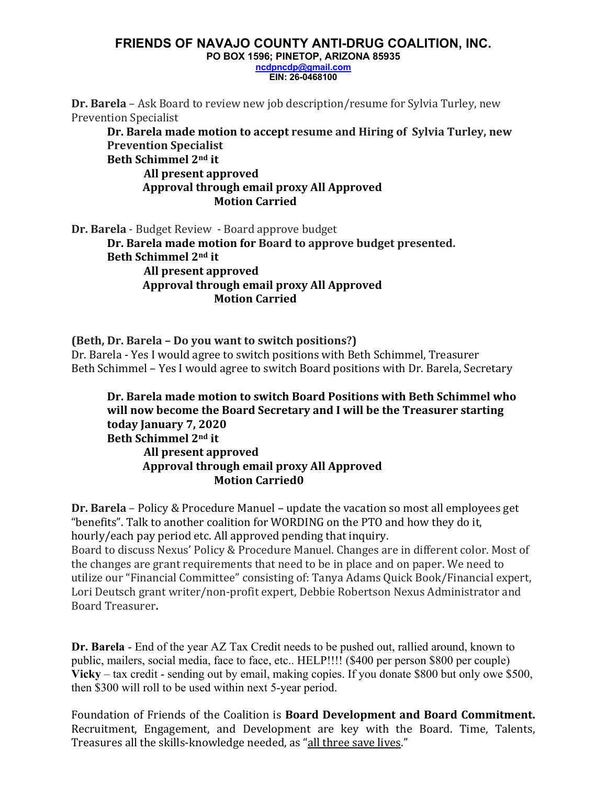# **FRIENDS OF NAVAJO COUNTY ANTI-DRUG COALITION, INC.**

**PO BOX 1596; PINETOP, ARIZONA 85935**

**ncdpncdp@gmail.com EIN: 26-0468100**

**Dr. Barela** – Ask Board to review new job description/resume for Sylvia Turley, new Prevention Specialist

**Dr.** Barela made motion to accept resume and Hiring of Sylvia Turley, new **Prevention Specialist**

**Beth Schimmel 2nd it**

**All present approved** Approval through email proxy All Approved **Motion Carried**

**Dr. Barela** - Budget Review - Board approve budget **Dr.** Barela made motion for Board to approve budget presented. **Beth Schimmel 2nd it All present approved** Approval through email proxy All Approved **Motion Carried**

**(Beth, Dr. Barela - Do you want to switch positions?)** Dr. Barela - Yes I would agree to switch positions with Beth Schimmel, Treasurer Beth Schimmel – Yes I would agree to switch Board positions with Dr. Barela, Secretary

Dr. Barela made motion to switch Board Positions with Beth Schimmel who will now become the Board Secretary and I will be the Treasurer starting **today January 7, 2020 Beth Schimmel 2nd it All present approved** Approval through email proxy All Approved **Motion Carried0**

**Dr. Barela** – Policy & Procedure Manuel – update the vacation so most all employees get "benefits". Talk to another coalition for WORDING on the PTO and how they do it, hourly/each pay period etc. All approved pending that inquiry. Board to discuss Nexus' Policy & Procedure Manuel. Changes are in different color. Most of the changes are grant requirements that need to be in place and on paper. We need to utilize our "Financial Committee" consisting of: Tanya Adams Quick Book/Financial expert, Lori Deutsch grant writer/non-profit expert, Debbie Robertson Nexus Administrator and Board Treasurer**.** 

**Dr. Barela** - End of the year AZ Tax Credit needs to be pushed out, rallied around, known to public, mailers, social media, face to face, etc.. HELP!!!! (\$400 per person \$800 per couple) **Vicky** – tax credit - sending out by email, making copies. If you donate \$800 but only owe \$500, then \$300 will roll to be used within next 5-year period.